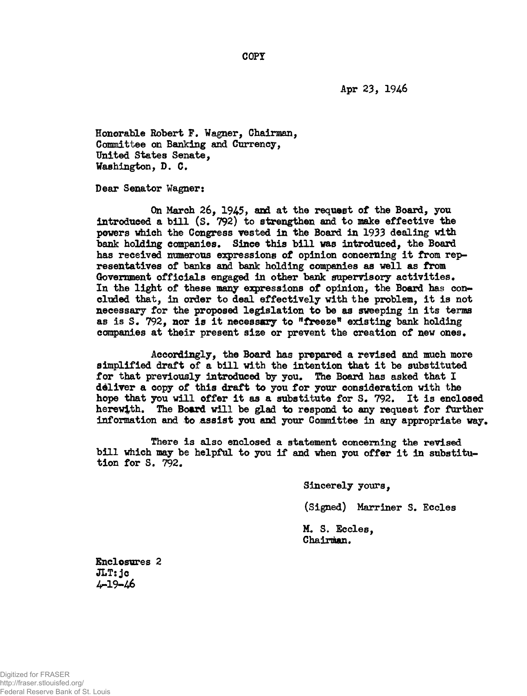**Apr 23, 1946**

**Honorable Robert P. Wagner, Chairman, Committee on Banking and Currency, United States Senate, Washington, D, G.**

**Dear Senator Wagner:**

**On March 26, 1945, and at the request of the Board, you introduced a bill (S. 792) to strengthen and to make effective the powers which the Congress vested in the Board in 1933 dealing with bank holding companies. Since this bill was introduced, the Board has received numerous expressions of opinion concerning it from representatives of banks and bank holding companies as well as from Government officials engaged In other bank supervisory activities. In the light of these many expressions of opinion, the Board has concluded that, in order to deal effectively with the problem, it is not necessary for the proposed legislation to be as sweeping in its terms as is S. 792, nor is it necessary to <sup>n</sup>freeze<sup>11</sup> existing bank holding companies at their present size or prevent the creation of new ones.**

**Accordingly, the Board has prepared a revised and much more simplified draft of a bill with the intention that it be substituted for that previously introduced by you. The Board has asked that I deliver a copy of this draft to you for your consideration with the hope that you will offer it as a substitute for S. 792. It is enclosed herewith. The Board will be gLad to respond to any request for further information and to assist you and your Committee in any appropriate way.**

**There is also enclosed a statement concerning the revised bill which may be helpful to you if and when you offer it in substitution for S. 792.**

**Sincerely yours,**

**(Signed) Marriner S. Eccles**

**M. S. Eccles, Chairman.**

**Enclosures 2 JLT:jc** 4-19-46

**COPT**